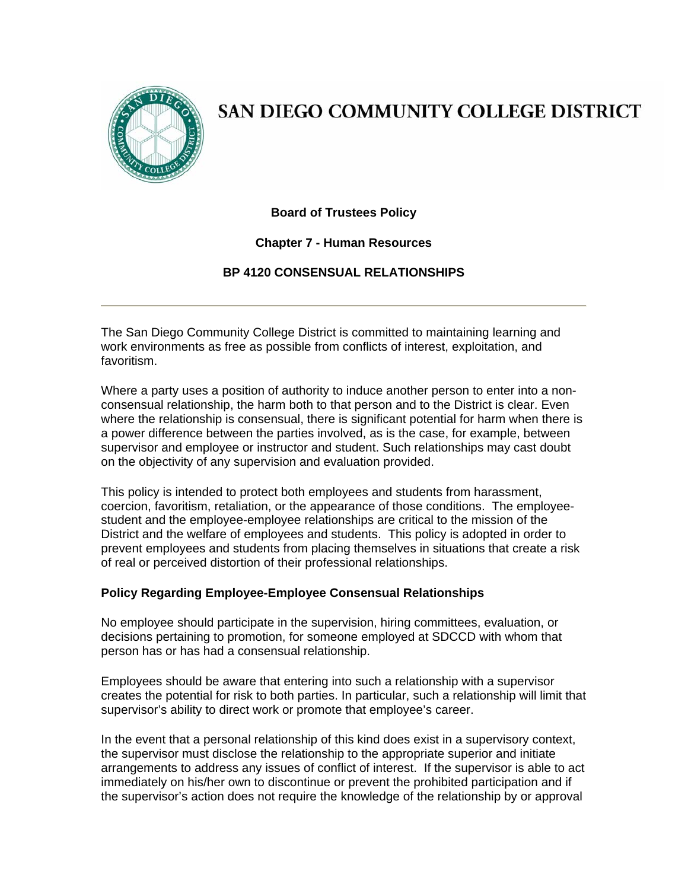

# SAN DIEGO COMMUNITY COLLEGE DISTRICT

**Board of Trustees Policy**

## **Chapter 7 - Human Resources**

# **BP 4120 CONSENSUAL RELATIONSHIPS**

The San Diego Community College District is committed to maintaining learning and work environments as free as possible from conflicts of interest, exploitation, and favoritism.

Where a party uses a position of authority to induce another person to enter into a nonconsensual relationship, the harm both to that person and to the District is clear. Even where the relationship is consensual, there is significant potential for harm when there is a power difference between the parties involved, as is the case, for example, between supervisor and employee or instructor and student. Such relationships may cast doubt on the objectivity of any supervision and evaluation provided.

This policy is intended to protect both employees and students from harassment, coercion, favoritism, retaliation, or the appearance of those conditions. The employeestudent and the employee-employee relationships are critical to the mission of the District and the welfare of employees and students. This policy is adopted in order to prevent employees and students from placing themselves in situations that create a risk of real or perceived distortion of their professional relationships.

#### **Policy Regarding Employee-Employee Consensual Relationships**

No employee should participate in the supervision, hiring committees, evaluation, or decisions pertaining to promotion, for someone employed at SDCCD with whom that person has or has had a consensual relationship.

Employees should be aware that entering into such a relationship with a supervisor creates the potential for risk to both parties. In particular, such a relationship will limit that supervisor's ability to direct work or promote that employee's career.

In the event that a personal relationship of this kind does exist in a supervisory context, the supervisor must disclose the relationship to the appropriate superior and initiate arrangements to address any issues of conflict of interest. If the supervisor is able to act immediately on his/her own to discontinue or prevent the prohibited participation and if the supervisor's action does not require the knowledge of the relationship by or approval